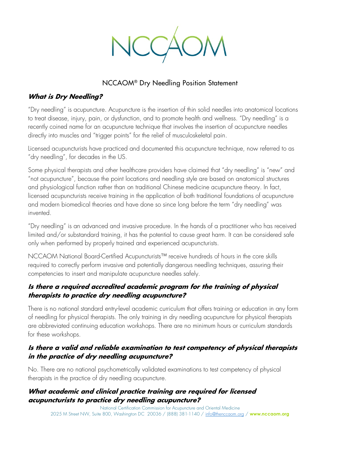

# NCCAOM® Dry Needling Position Statement

#### **What is Dry Needling?**

"Dry needling" is acupuncture. Acupuncture is the insertion of thin solid needles into anatomical locations to treat disease, injury, pain, or dysfunction, and to promote health and wellness. "Dry needling" is a recently coined name for an acupuncture technique that involves the insertion of acupuncture needles directly into muscles and "trigger points" for the relief of musculoskeletal pain.

Licensed acupuncturists have practiced and documented this acupuncture technique, now referred to as "dry needling", for decades in the US.

Some physical therapists and other healthcare providers have claimed that "dry needling" is "new" and "not acupuncture", because the point locations and needling style are based on anatomical structures and physiological function rather than on traditional Chinese medicine acupuncture theory. In fact, licensed acupuncturists receive training in the application of both traditional foundations of acupuncture and modern biomedical theories and have done so since long before the term "dry needling" was invented.

"Dry needling" is an advanced and invasive procedure. In the hands of a practitioner who has received limited and/or substandard training, it has the potential to cause great harm. It can be considered safe only when performed by properly trained and experienced acupuncturists.

NCCAOM National Board-Certified Acupuncturists™ receive hundreds of hours in the core skills required to correctly perform invasive and potentially dangerous needling techniques, assuring their competencies to insert and manipulate acupuncture needles safely.

## **Is there a required accredited academic program for the training of physical therapists to practice dry needling acupuncture?**

There is no national standard entry-level academic curriculum that offers training or education in any form of needling for physical therapists. The only training in dry needling acupuncture for physical therapists are abbreviated continuing education workshops. There are no minimum hours or curriculum standards for these workshops.

## **Is there a valid and reliable examination to test competency of physical therapists in the practice of dry needling acupuncture?**

No. There are no national psychometrically validated examinations to test competency of physical therapists in the practice of dry needling acupuncture.

#### **What academic and clinical practice training are required for licensed acupuncturists to practice dry needling acupuncture?**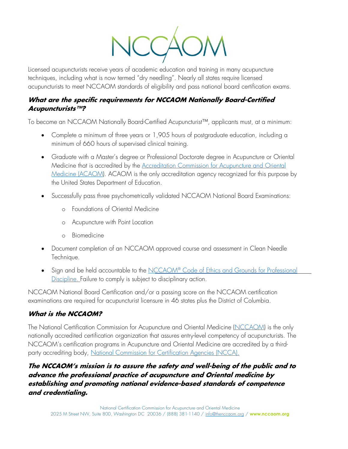

Licensed acupuncturists receive years of academic education and training in many acupuncture techniques, including what is now termed "dry needling". Nearly all states require licensed acupuncturists to meet NCCAOM standards of eligibility and pass national board certification exams.

## **What are the specific requirements for NCCAOM Nationally Board-Certified Acupuncturists™?**

To become an NCCAOM Nationally Board-Certified Acupuncturist™, applicants must, at a minimum:

- Complete a minimum of three years or 1,905 hours of postgraduate education, including a minimum of 660 hours of supervised clinical training.
- Graduate with a Master's degree or Professional Doctorate degree in Acupuncture or Oriental Medicine that is accredited by the [Accreditation Commission for Acupuncture and Oriental](http://acaom.org/) [Medicine \(ACAOM\).](http://acaom.org/) ACAOM is the only accreditation agency recognized for this purpose by the United States Department of Education.
- Successfully pass three psychometrically validated NCCAOM National Board Examinations:
	- o Foundations of Oriental Medicine
	- o Acupuncture with Point Location
	- o Biomedicine
- Document completion of an NCCAOM approved course and assessment in Clean Needle Technique.
- Sign and be held accountable to the NCCAOM® [Code of Ethics and Grounds for Professional](http://www.nccaom.org/nccaom-code-of-ethics/) [Discipline. F](http://www.nccaom.org/nccaom-code-of-ethics/)ailure to comply is subject to disciplinary action.

NCCAOM National Board Certification and/or a passing score on the NCCAOM certification examinations are required for acupuncturist licensure in 46 states plus the District of Columbia.

## **What is the NCCAOM?**

The National Certification Commission for Acupuncture and Oriental Medicine [\(NCCAOM\)](http://www.nccaom.org/) is the only nationally accredited certification organization that assures entry-level competency of acupuncturists. The NCCAOM's certification programs in Acupuncture and Oriental Medicine are accredited by a thirdparty accrediting body, [National Commission for Certification Agencies \(NCCA\).](http://www.credentialingexcellence.org/ncca)

## **The NCCAOM's mission is to assure the safety and well-being of the public and to advance the professional practice of acupuncture and Oriental medicine by establishing and promoting national evidence-based standards of competence and credentialing.**